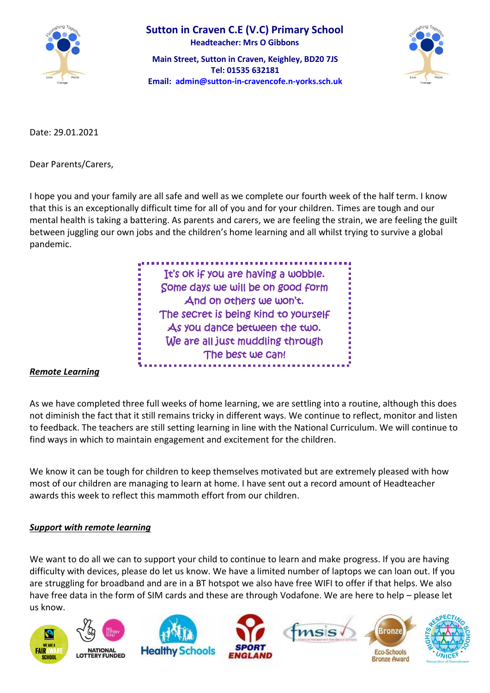

**Main Street, Sutton in Craven, Keighley, BD20 7JS Tel: 01535 632181 Email: [admin@sutton-in-cravencofe.n-yorks.sch.uk](mailto:admin@sutton-in-cravencofe.n-yorks.sch.uk)**



Date: 29.01.2021

Dear Parents/Carers,

I hope you and your family are all safe and well as we complete our fourth week of the half term. I know that this is an exceptionally difficult time for all of you and for your children. Times are tough and our mental health is taking a battering. As parents and carers, we are feeling the strain, we are feeling the guilt between juggling our own jobs and the children's home learning and all whilst trying to survive a global pandemic.

> It's ok if you are having a wobble. Some days we will be on good form And on others we won't. The secret is being kind to yourself As you dance between the two. We are all just muddling through The best we can!

### *Remote Learning*

As we have completed three full weeks of home learning, we are settling into a routine, although this does not diminish the fact that it still remains tricky in different ways. We continue to reflect, monitor and listen to feedback. The teachers are still setting learning in line with the National Curriculum. We will continue to find ways in which to maintain engagement and excitement for the children.

We know it can be tough for children to keep themselves motivated but are extremely pleased with how most of our children are managing to learn at home. I have sent out a record amount of Headteacher awards this week to reflect this mammoth effort from our children.

### *Support with remote learning*

We want to do all we can to support your child to continue to learn and make progress. If you are having difficulty with devices, please do let us know. We have a limited number of laptops we can loan out. If you are struggling for broadband and are in a BT hotspot we also have free WIFI to offer if that helps. We also have free data in the form of SIM cards and these are through Vodafone. We are here to help – please let us know.











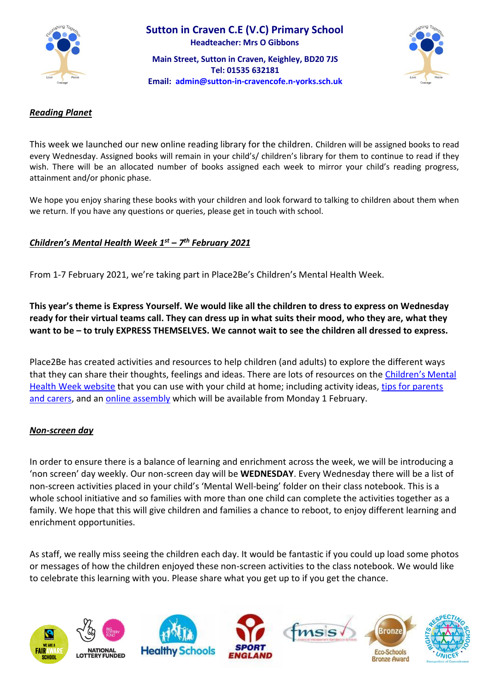

**Main Street, Sutton in Craven, Keighley, BD20 7JS Tel: 01535 632181 Email: [admin@sutton-in-cravencofe.n-yorks.sch.uk](mailto:admin@sutton-in-cravencofe.n-yorks.sch.uk)**



#### *Reading Planet*

This week we launched our new online reading library for the children. Children will be assigned books to read every Wednesday. Assigned books will remain in your child's/ children's library for them to continue to read if they wish. There will be an allocated number of books assigned each week to mirror your child's reading progress, attainment and/or phonic phase.

We hope you enjoy sharing these books with your children and look forward to talking to children about them when we return. If you have any questions or queries, please get in touch with school.

# *Children's Mental Health Week 1st – 7 th February 2021*

From 1-7 February 2021, we're taking part in Place2Be's Children's Mental Health Week.

**This year's theme is Express Yourself. We would like all the children to dress to express on Wednesday ready for their virtual teams call. They can dress up in what suits their mood, who they are, what they want to be – to truly EXPRESS THEMSELVES. We cannot wait to see the children all dressed to express.** 

Place2Be has created activities and resources to help children (and adults) to explore the different ways that they can share their thoughts, feelings and ideas. There are lots of resources on the [Children's Mental](https://www.childrensmentalhealthweek.org.uk/)  [Health Week website](https://www.childrensmentalhealthweek.org.uk/) that you can use with your child at home; including activity ideas, [tips for parents](https://www.childrensmentalhealthweek.org.uk/parents-and-carers/)  [and carers,](https://www.childrensmentalhealthweek.org.uk/parents-and-carers/) and an [online assembly](https://www.childrensmentalhealthweek.org.uk/assembly) which will be available from Monday 1 February.

#### *Non-screen day*

In order to ensure there is a balance of learning and enrichment across the week, we will be introducing a 'non screen' day weekly. Our non-screen day will be **WEDNESDAY**. Every Wednesday there will be a list of non-screen activities placed in your child's 'Mental Well-being' folder on their class notebook. This is a whole school initiative and so families with more than one child can complete the activities together as a family. We hope that this will give children and families a chance to reboot, to enjoy different learning and enrichment opportunities.

As staff, we really miss seeing the children each day. It would be fantastic if you could up load some photos or messages of how the children enjoyed these non-screen activities to the class notebook. We would like to celebrate this learning with you. Please share what you get up to if you get the chance.

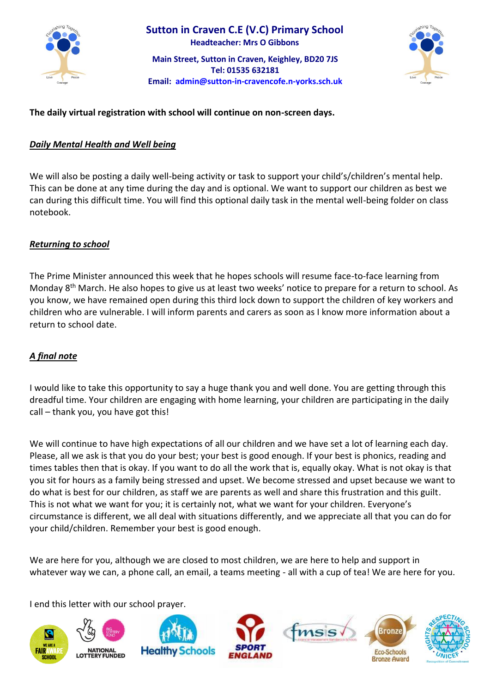

**Main Street, Sutton in Craven, Keighley, BD20 7JS Tel: 01535 632181 Email: [admin@sutton-in-cravencofe.n-yorks.sch.uk](mailto:admin@sutton-in-cravencofe.n-yorks.sch.uk)**



# **The daily virtual registration with school will continue on non-screen days.**

# *Daily Mental Health and Well being*

We will also be posting a daily well-being activity or task to support your child's/children's mental help. This can be done at any time during the day and is optional. We want to support our children as best we can during this difficult time. You will find this optional daily task in the mental well-being folder on class notebook.

# *Returning to school*

The Prime Minister announced this week that he hopes schools will resume face-to-face learning from Monday 8<sup>th</sup> March. He also hopes to give us at least two weeks' notice to prepare for a return to school. As you know, we have remained open during this third lock down to support the children of key workers and children who are vulnerable. I will inform parents and carers as soon as I know more information about a return to school date.

# *A final note*

I would like to take this opportunity to say a huge thank you and well done. You are getting through this dreadful time. Your children are engaging with home learning, your children are participating in the daily call – thank you, you have got this!

We will continue to have high expectations of all our children and we have set a lot of learning each day. Please, all we ask is that you do your best; your best is good enough. If your best is phonics, reading and times tables then that is okay. If you want to do all the work that is, equally okay. What is not okay is that you sit for hours as a family being stressed and upset. We become stressed and upset because we want to do what is best for our children, as staff we are parents as well and share this frustration and this guilt. This is not what we want for you; it is certainly not, what we want for your children. Everyone's circumstance is different, we all deal with situations differently, and we appreciate all that you can do for your child/children. Remember your best is good enough.

We are here for you, although we are closed to most children, we are here to help and support in whatever way we can, a phone call, an email, a teams meeting - all with a cup of tea! We are here for you.

I end this letter with our school prayer.